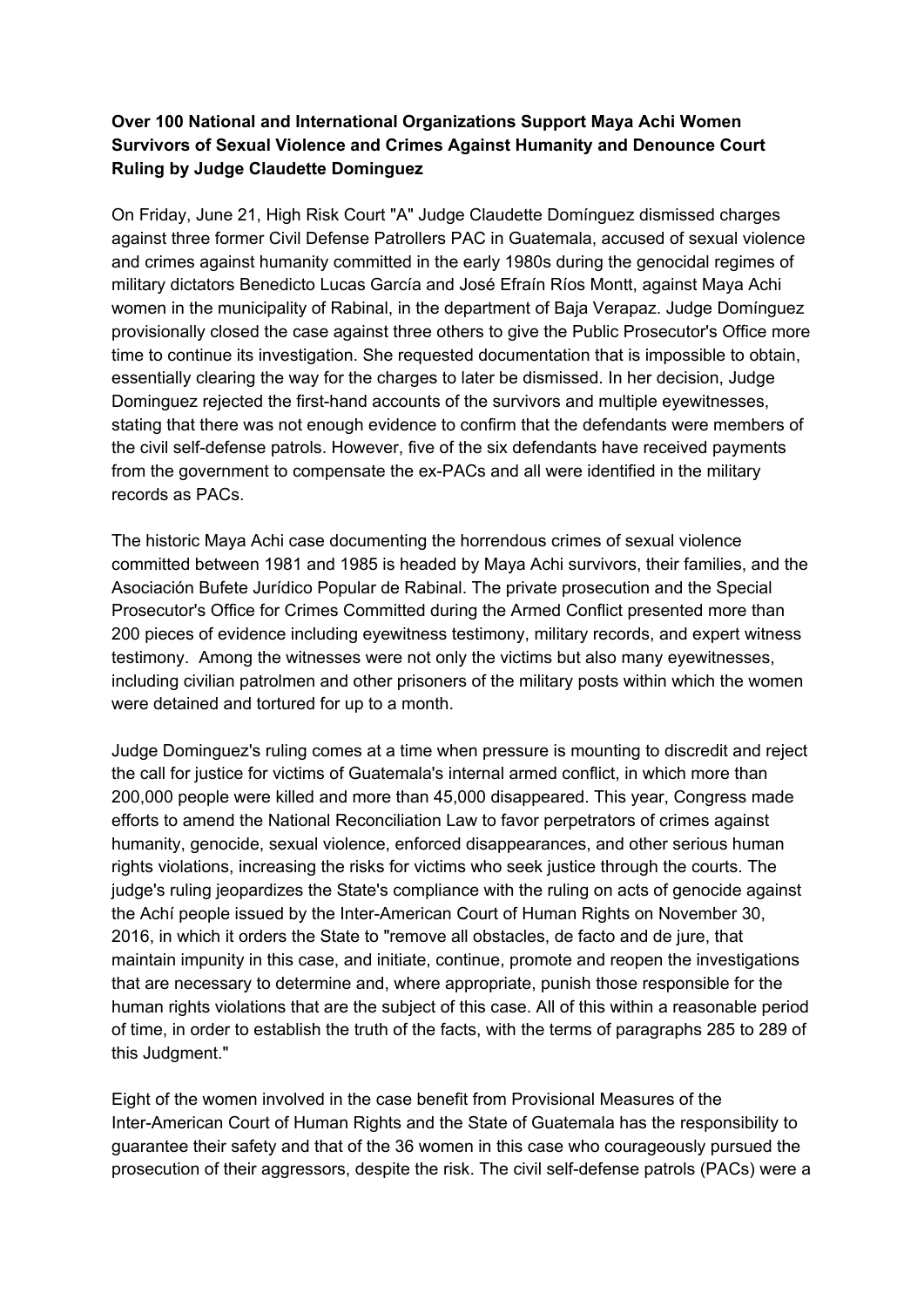# **Over 100 National and International Organizations Support Maya Achi Women Survivors of Sexual Violence and Crimes Against Humanity and Denounce Court Ruling by Judge Claudette Dominguez**

On Friday, June 21, High Risk Court "A" Judge Claudette Domínguez dismissed charges against three former Civil Defense Patrollers PAC in Guatemala, accused of sexual violence and crimes against humanity committed in the early 1980s during the genocidal regimes of military dictators Benedicto Lucas García and José Efraín Ríos Montt, against Maya Achi women in the municipality of Rabinal, in the department of Baja Verapaz. Judge Domínguez provisionally closed the case against three others to give the Public Prosecutor's Office more time to continue its investigation. She requested documentation that is impossible to obtain, essentially clearing the way for the charges to later be dismissed. In her decision, Judge Dominguez rejected the first-hand accounts of the survivors and multiple eyewitnesses, stating that there was not enough evidence to confirm that the defendants were members of the civil self-defense patrols. However, five of the six defendants have received payments from the government to compensate the ex-PACs and all were identified in the military records as PACs.

The historic Maya Achi case documenting the horrendous crimes of sexual violence committed between 1981 and 1985 is headed by Maya Achi survivors, their families, and the Asociación Bufete Jurídico Popular de Rabinal. The private prosecution and the Special Prosecutor's Office for Crimes Committed during the Armed Conflict presented more than 200 pieces of evidence including eyewitness testimony, military records, and expert witness testimony. Among the witnesses were not only the victims but also many eyewitnesses, including civilian patrolmen and other prisoners of the military posts within which the women were detained and tortured for up to a month.

Judge Dominguez's ruling comes at a time when pressure is mounting to discredit and reject the call for justice for victims of Guatemala's internal armed conflict, in which more than 200,000 people were killed and more than 45,000 disappeared. This year, Congress made efforts to amend the National Reconciliation Law to favor perpetrators of crimes against humanity, genocide, sexual violence, enforced disappearances, and other serious human rights violations, increasing the risks for victims who seek justice through the courts. The judge's ruling jeopardizes the State's compliance with the ruling on acts of genocide against the Achí people issued by the Inter-American Court of Human Rights on November 30, 2016, in which it orders the State to "remove all obstacles, de facto and de jure, that maintain impunity in this case, and initiate, continue, promote and reopen the investigations that are necessary to determine and, where appropriate, punish those responsible for the human rights violations that are the subject of this case. All of this within a reasonable period of time, in order to establish the truth of the facts, with the terms of paragraphs 285 to 289 of this Judgment."

Eight of the women involved in the case benefit from Provisional Measures of the Inter-American Court of Human Rights and the State of Guatemala has the responsibility to guarantee their safety and that of the 36 women in this case who courageously pursued the prosecution of their aggressors, despite the risk. The civil self-defense patrols (PACs) were a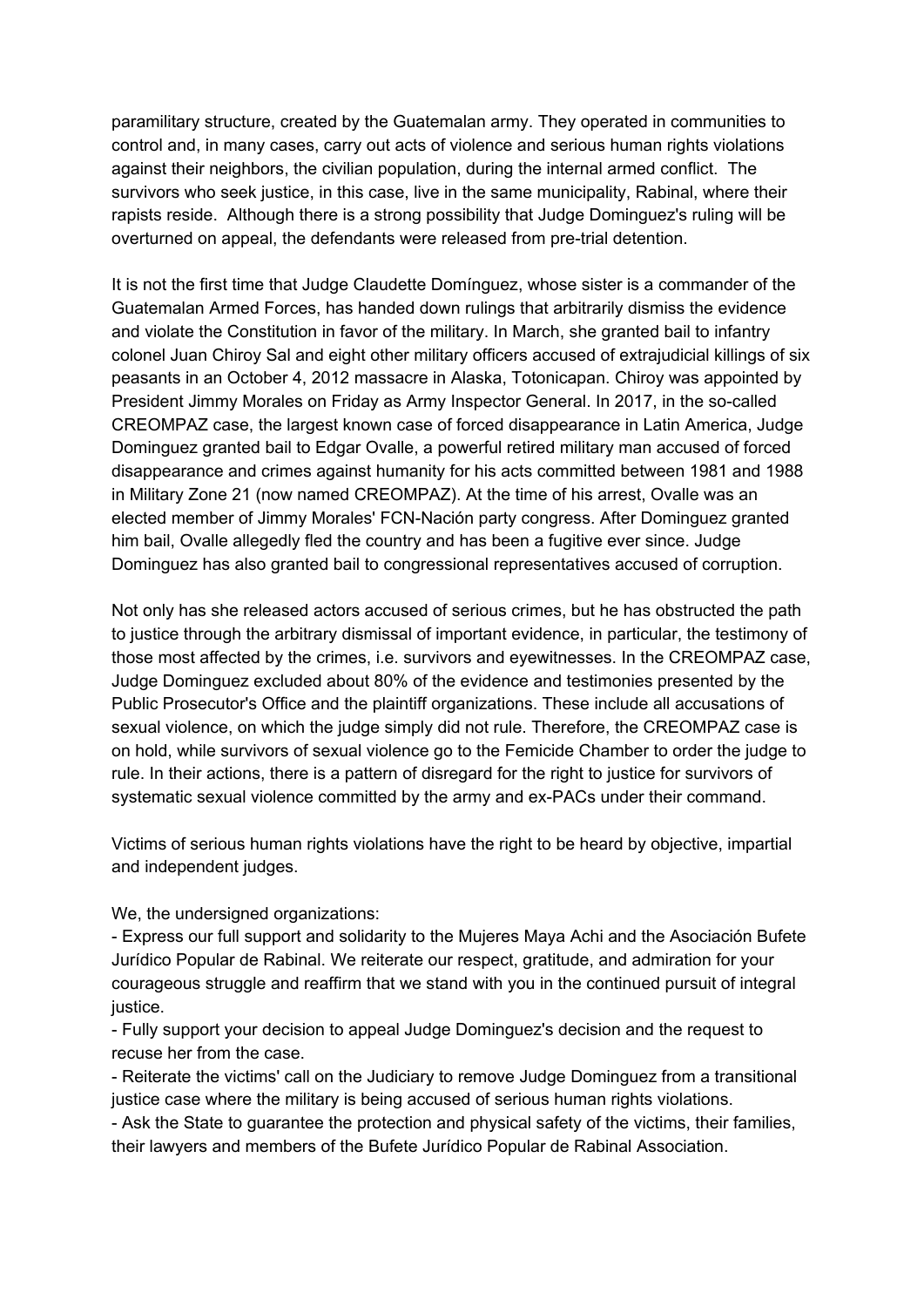paramilitary structure, created by the Guatemalan army. They operated in communities to control and, in many cases, carry out acts of violence and serious human rights violations against their neighbors, the civilian population, during the internal armed conflict. The survivors who seek justice, in this case, live in the same municipality, Rabinal, where their rapists reside. Although there is a strong possibility that Judge Dominguez's ruling will be overturned on appeal, the defendants were released from pre-trial detention.

It is not the first time that Judge Claudette Domínguez, whose sister is a commander of the Guatemalan Armed Forces, has handed down rulings that arbitrarily dismiss the evidence and violate the Constitution in favor of the military. In March, she granted bail to infantry colonel Juan Chiroy Sal and eight other military officers accused of extrajudicial killings of six peasants in an October 4, 2012 massacre in Alaska, Totonicapan. Chiroy was appointed by President Jimmy Morales on Friday as Army Inspector General. In 2017, in the so-called CREOMPAZ case, the largest known case of forced disappearance in Latin America, Judge Dominguez granted bail to Edgar Ovalle, a powerful retired military man accused of forced disappearance and crimes against humanity for his acts committed between 1981 and 1988 in Military Zone 21 (now named CREOMPAZ). At the time of his arrest, Ovalle was an elected member of Jimmy Morales' FCN-Nación party congress. After Dominguez granted him bail, Ovalle allegedly fled the country and has been a fugitive ever since. Judge Dominguez has also granted bail to congressional representatives accused of corruption.

Not only has she released actors accused of serious crimes, but he has obstructed the path to justice through the arbitrary dismissal of important evidence, in particular, the testimony of those most affected by the crimes, i.e. survivors and eyewitnesses. In the CREOMPAZ case, Judge Dominguez excluded about 80% of the evidence and testimonies presented by the Public Prosecutor's Office and the plaintiff organizations. These include all accusations of sexual violence, on which the judge simply did not rule. Therefore, the CREOMPAZ case is on hold, while survivors of sexual violence go to the Femicide Chamber to order the judge to rule. In their actions, there is a pattern of disregard for the right to justice for survivors of systematic sexual violence committed by the army and ex-PACs under their command.

Victims of serious human rights violations have the right to be heard by objective, impartial and independent judges.

We, the undersigned organizations:

- Express our full support and solidarity to the Mujeres Maya Achi and the Asociación Bufete Jurídico Popular de Rabinal. We reiterate our respect, gratitude, and admiration for your courageous struggle and reaffirm that we stand with you in the continued pursuit of integral justice.

- Fully support your decision to appeal Judge Dominguez's decision and the request to recuse her from the case.

- Reiterate the victims' call on the Judiciary to remove Judge Dominguez from a transitional justice case where the military is being accused of serious human rights violations.

- Ask the State to guarantee the protection and physical safety of the victims, their families, their lawyers and members of the Bufete Jurídico Popular de Rabinal Association.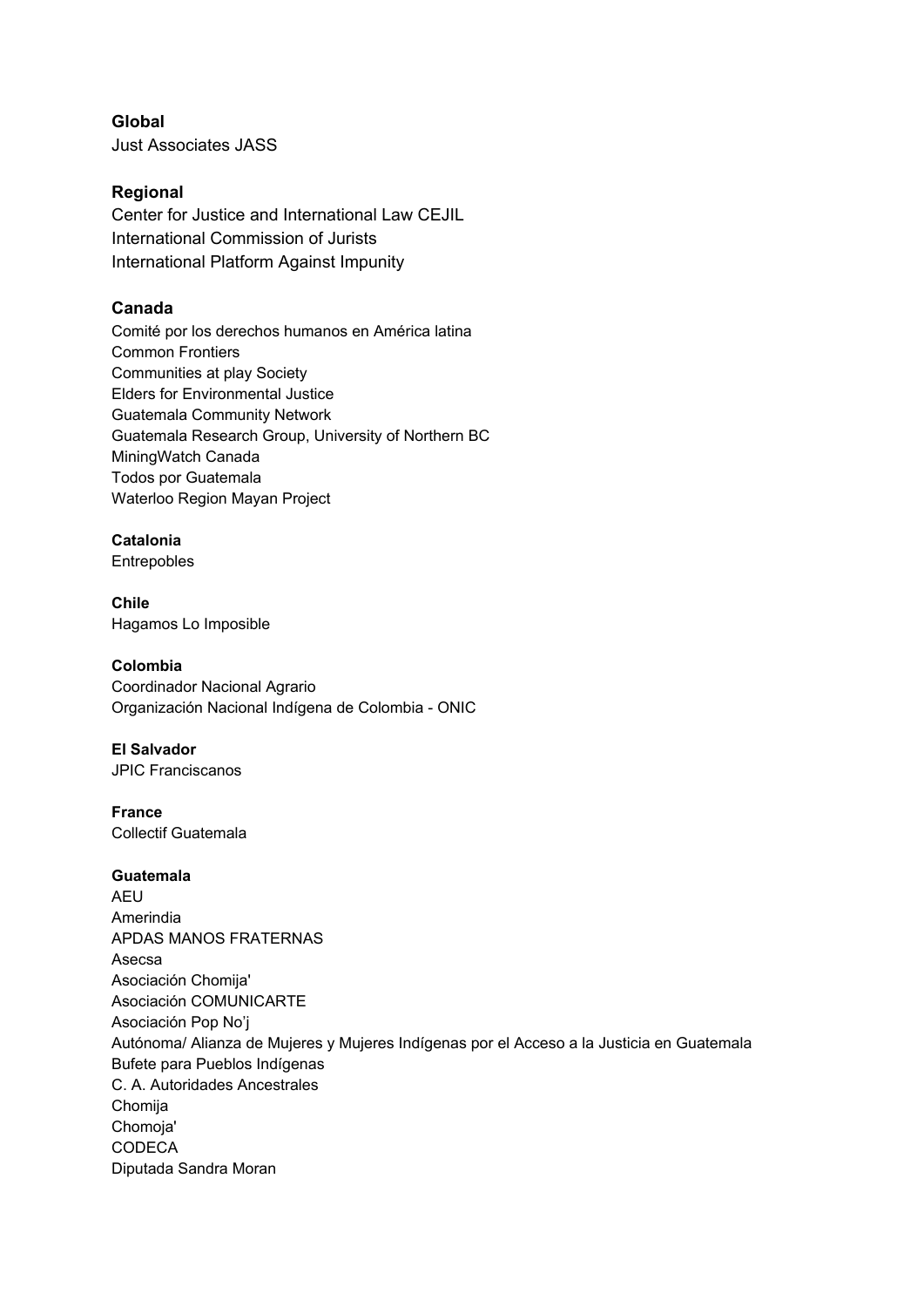**Global** Just Associates JASS

## **Regional**

Center for Justice and International Law CEJIL International Commission of Jurists International Platform Against Impunity

# **Canada**

Comité por los derechos humanos en América latina Common Frontiers Communities at play Society Elders for Environmental Justice Guatemala Community Network Guatemala Research Group, University of Northern BC MiningWatch Canada Todos por Guatemala Waterloo Region Mayan Project

# **Catalonia**

Entrepobles

**Chile** Hagamos Lo Imposible

### **Colombia**

Coordinador Nacional Agrario Organización Nacional Indígena de Colombia - ONIC

### **El Salvador**

JPIC Franciscanos

### **France**

Collectif Guatemala

### **Guatemala**

AEU Amerindia APDAS MANOS FRATERNAS Asecsa Asociación Chomija' Asociación COMUNICARTE Asociación Pop No'j Autónoma/ Alianza de Mujeres y Mujeres Indígenas por el Acceso a la Justicia en Guatemala Bufete para Pueblos Indígenas C. A. Autoridades Ancestrales Chomija Chomoja' **CODECA** Diputada Sandra Moran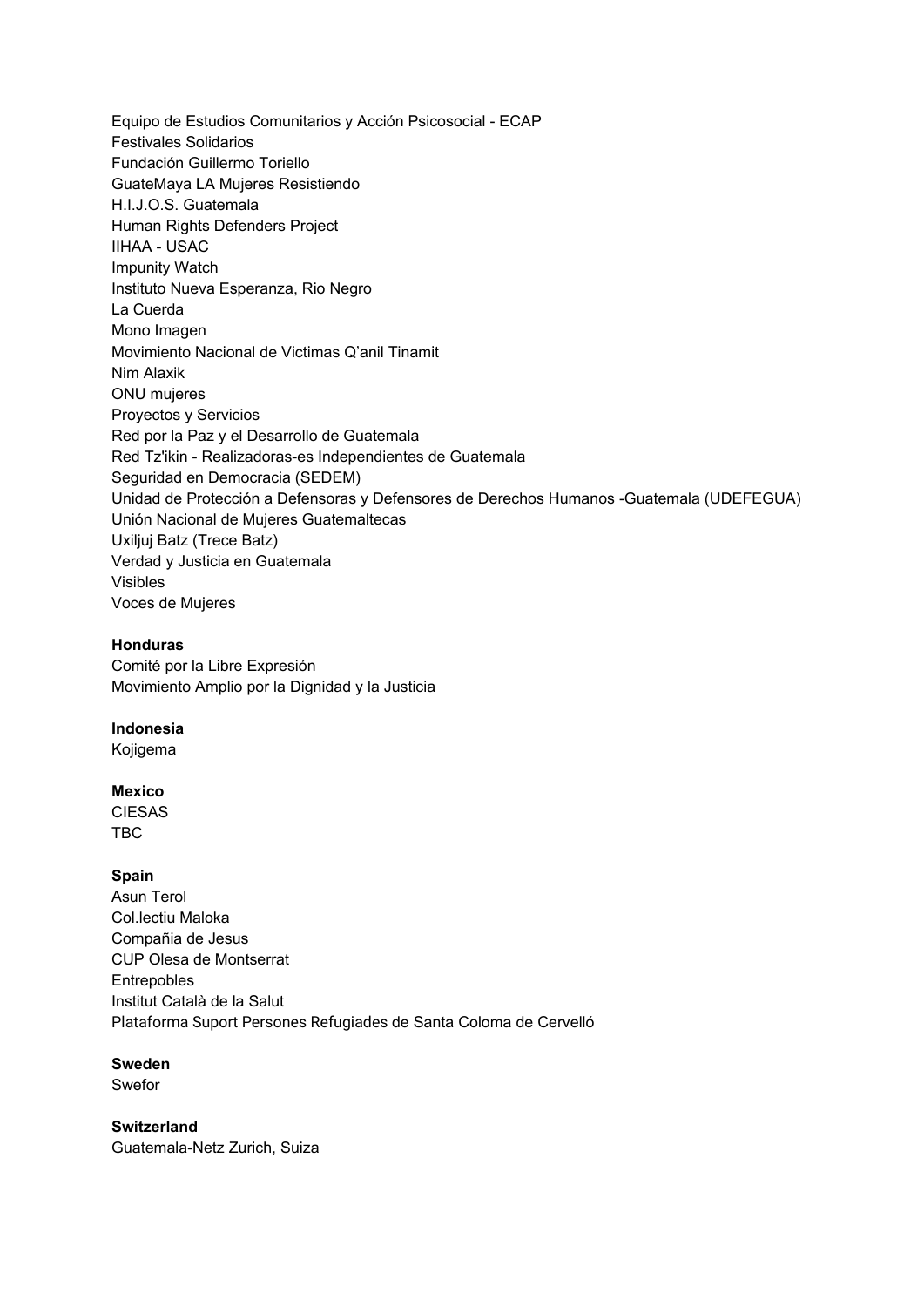Equipo de Estudios Comunitarios y Acción Psicosocial - ECAP Festivales Solidarios Fundación Guillermo Toriello GuateMaya LA Mujeres Resistiendo H.I.J.O.S. Guatemala Human Rights Defenders Project IIHAA - USAC Impunity Watch Instituto Nueva Esperanza, Rio Negro La Cuerda Mono Imagen Movimiento Nacional de Victimas Q'anil Tinamit Nim Alaxik ONU mujeres Proyectos y Servicios Red por la Paz y el Desarrollo de Guatemala Red Tz'ikin - Realizadoras-es Independientes de Guatemala Seguridad en Democracia (SEDEM) Unidad de Protección a Defensoras y Defensores de Derechos Humanos -Guatemala (UDEFEGUA) Unión Nacional de Mujeres Guatemaltecas Uxiljuj Batz (Trece Batz) Verdad y Justicia en Guatemala Visibles Voces de Mujeres

#### **Honduras**

Comité por la Libre Expresión Movimiento Amplio por la Dignidad y la Justicia

#### **Indonesia**

Kojigema

#### **Mexico**

CIESAS TBC

#### **Spain**

Asun Terol Col.lectiu Maloka Compañia de Jesus CUP Olesa de Montserrat Entrepobles Institut Català de la Salut Plataforma Suport Persones Refugiades de Santa Coloma de Cervelló

### **Sweden**

Swefor

**Switzerland** Guatemala-Netz Zurich, Suiza